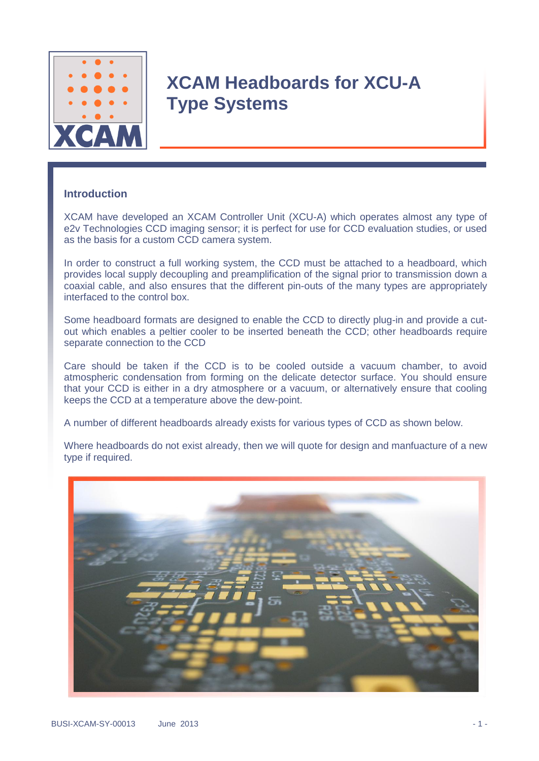

#### **Introduction**

XCAM have developed an XCAM Controller Unit (XCU-A) which operates almost any type of e2v Technologies CCD imaging sensor; it is perfect for use for CCD evaluation studies, or used as the basis for a custom CCD camera system.

In order to construct a full working system, the CCD must be attached to a headboard, which provides local supply decoupling and preamplification of the signal prior to transmission down a coaxial cable, and also ensures that the different pin-outs of the many types are appropriately interfaced to the control box.

Some headboard formats are designed to enable the CCD to directly plug-in and provide a cutout which enables a peltier cooler to be inserted beneath the CCD; other headboards require separate connection to the CCD

Care should be taken if the CCD is to be cooled outside a vacuum chamber, to avoid atmospheric condensation from forming on the delicate detector surface. You should ensure that your CCD is either in a dry atmosphere or a vacuum, or alternatively ensure that cooling keeps the CCD at a temperature above the dew-point.

A number of different headboards already exists for various types of CCD as shown below.

Where headboards do not exist already, then we will quote for design and manfuacture of a new type if required.

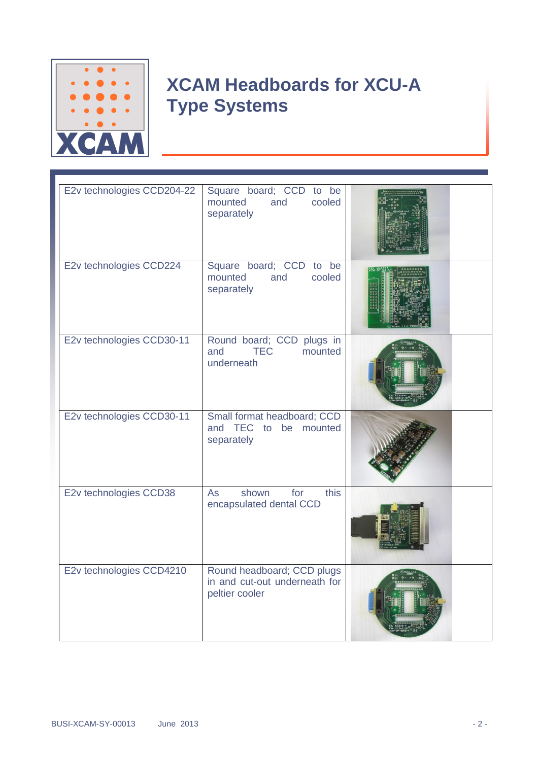

| E2v technologies CCD204-22 | Square board; CCD to be<br>cooled<br>mounted<br>and<br>separately             |  |
|----------------------------|-------------------------------------------------------------------------------|--|
| E2v technologies CCD224    | Square board; CCD to be<br>cooled<br>mounted<br>and<br>separately             |  |
| E2v technologies CCD30-11  | Round board; CCD plugs in<br><b>TEC</b><br>and<br>mounted<br>underneath       |  |
| E2v technologies CCD30-11  | Small format headboard; CCD<br>and TEC<br>be mounted<br>to<br>separately      |  |
| E2v technologies CCD38     | this<br>shown<br>for<br><b>As</b><br>encapsulated dental CCD                  |  |
| E2v technologies CCD4210   | Round headboard; CCD plugs<br>in and cut-out underneath for<br>peltier cooler |  |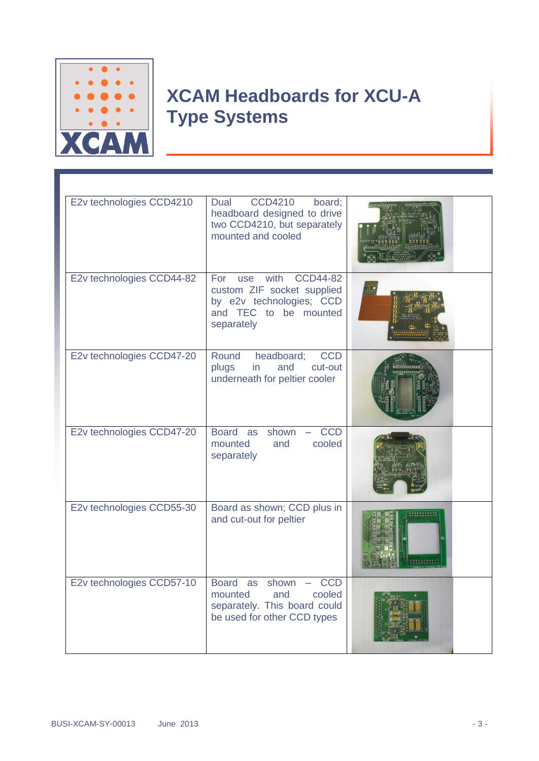

| E2v technologies CCD4210  | <b>CCD4210</b><br>board;<br>Dual<br>headboard designed to drive<br>two CCD4210, but separately<br>mounted and cooled                                   |             |
|---------------------------|--------------------------------------------------------------------------------------------------------------------------------------------------------|-------------|
| E2v technologies CCD44-82 | with<br>CCD44-82<br>For<br>use<br>custom ZIF socket supplied<br>by e2v technologies; CCD<br>and TEC to be mounted<br>separately                        |             |
| E2v technologies CCD47-20 | headboard;<br>Round<br><b>CCD</b><br>and<br>cut-out<br>plugs<br>in<br>underneath for peltier cooler                                                    |             |
| E2v technologies CCD47-20 | Board as<br>shown<br><b>CCD</b><br>cooled<br>mounted<br>and<br>separately                                                                              |             |
| E2v technologies CCD55-30 | Board as shown; CCD plus in<br>and cut-out for peltier                                                                                                 | ,,,,,,,,,,, |
| E2v technologies CCD57-10 | Board as<br>shown<br><b>CCD</b><br>$\overline{\phantom{0}}$<br>cooled<br>mounted<br>and<br>separately. This board could<br>be used for other CCD types |             |